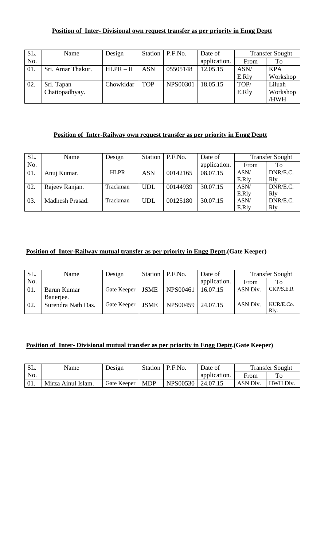#### **Position of Inter- Divisional own request transfer as per priority in Engg Deptt**

| SL. | Name              | Design      |            | Station   P.F.No. | Date of      |       | <b>Transfer Sought</b> |
|-----|-------------------|-------------|------------|-------------------|--------------|-------|------------------------|
| No. |                   |             |            |                   | application. | From  | To                     |
| 01. | Sri. Amar Thakur. | $HLPR - II$ | <b>ASN</b> | 05505148          | 12.05.15     | ASN/  | <b>KPA</b>             |
|     |                   |             |            |                   |              | E.Rly | Workshop               |
| 02. | Sri. Tapan        | Chowkidar   | <b>TOP</b> | <b>NPS00301</b>   | 18.05.15     | TOP/  | Liluah                 |
|     | Chattopadhyay.    |             |            |                   |              | E.Rly | Workshop               |
|     |                   |             |            |                   |              |       | /HWH                   |

## **Position of Inter-Railway own request transfer as per priority in Engg Deptt**

| SL. | Name            | Design      | Station    | P.F.No.  | Date of      |       | <b>Transfer Sought</b> |
|-----|-----------------|-------------|------------|----------|--------------|-------|------------------------|
| No. |                 |             |            |          | application. | From  | To                     |
| 01. | Anuj Kumar.     | <b>HLPR</b> | <b>ASN</b> | 00142165 | 08.07.15     | ASN/  | DNR/E.C.               |
|     |                 |             |            |          |              | E.Rly | R1y                    |
| 02. | Rajeev Ranjan.  | Trackman    | <b>UDL</b> | 00144939 | 30.07.15     | ASN/  | DNR/E.C.               |
|     |                 |             |            |          |              | E.Rly | R1y                    |
| 03. | Madhesh Prasad. | Trackman    | <b>UDL</b> | 00125180 | 30.07.15     | ASN/  | DNR/E.C.               |
|     |                 |             |            |          |              | E.Rly | R1y                    |

## **Position of Inter-Railway mutual transfer as per priority in Engg Deptt.(Gate Keeper)**

| SL. | Name               | Design      |             | Station   P.F.No. | Date of      |          | <b>Transfer Sought</b> |
|-----|--------------------|-------------|-------------|-------------------|--------------|----------|------------------------|
| No. |                    |             |             |                   | application. | From     | To                     |
| 01. | Barun Kumar        | Gate Keeper | <b>JSME</b> | <b>NPS00461</b>   | 16.07.15     | ASN Div. | CKP/S.E.R              |
|     | Banerjee.          |             |             |                   |              |          |                        |
| 02. | Surendra Nath Das. | Gate Keeper | <b>JSME</b> | NPS00459 24.07.15 |              | ASN Div. | KUR/E.Co.              |
|     |                    |             |             |                   |              |          | R <sub>lv</sub> .      |

## **Position of Inter- Divisional mutual transfer as per priority in Engg Deptt.(Gate Keeper)**

| SL. | Name               | Design            | Station   P.F.No. | Date of      |          | <b>Transfer Sought</b> |
|-----|--------------------|-------------------|-------------------|--------------|----------|------------------------|
| No. |                    |                   |                   | application. | From     |                        |
|     | Mirza Ainul Islam. | Gate Keeper   MDP | NPS00530 24.07.15 |              | ASN Div. | <b>HWH Div.</b>        |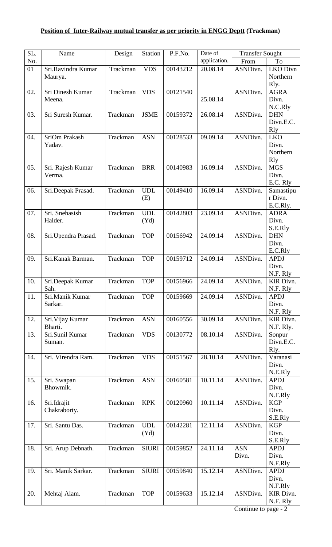## **Position of Inter-Railway mutual transfer as per priority in ENGG Deptt (Trackman)**

| SL. | Name                        | Design   | <b>Station</b> | P.F.No.  | Date of      | <b>Transfer Sought</b> |                       |
|-----|-----------------------------|----------|----------------|----------|--------------|------------------------|-----------------------|
| No. |                             |          |                |          | application. | From                   | To                    |
| 01  | Sri.Ravindra Kumar          | Trackman | <b>VDS</b>     | 00143212 | 20.08.14     | ASNDivn.               | <b>LKO</b> Divn       |
|     | Maurya.                     |          |                |          |              |                        | Northern              |
|     |                             |          |                |          |              |                        | Rly.                  |
| 02. | Sri Dinesh Kumar<br>Meena.  | Trackman | <b>VDS</b>     | 00121540 | 25.08.14     | ASNDivn.               | <b>AGRA</b><br>Divn.  |
|     |                             |          |                |          |              |                        | N.C.Rly               |
| 03. | Sri Suresh Kumar.           | Trackman | <b>JSME</b>    | 00159372 | 26.08.14     | ASNDivn.               | <b>DHN</b>            |
|     |                             |          |                |          |              |                        | Divn.E.C.             |
|     |                             |          |                |          |              |                        | <b>R</b> ly           |
| 04. | SriOm Prakash               | Trackman | <b>ASN</b>     | 00128533 | 09.09.14     | ASNDivn.               | <b>LKO</b>            |
|     | Yadav.                      |          |                |          |              |                        | Divn.                 |
|     |                             |          |                |          |              |                        | Northern              |
|     |                             |          |                |          |              |                        | <b>R</b> ly           |
| 05. | Sri. Rajesh Kumar<br>Verma. | Trackman | <b>BRR</b>     | 00140983 | 16.09.14     | ASNDivn.               | <b>MGS</b><br>Divn.   |
|     |                             |          |                |          |              |                        | E.C. Rly              |
| 06. | Sri.Deepak Prasad.          | Trackman | <b>UDL</b>     | 00149410 | 16.09.14     | ASNDivn.               | Samastipu             |
|     |                             |          | (E)            |          |              |                        | r Divn.               |
|     |                             |          |                |          |              |                        | E.C.Rly.              |
| 07. | Sri. Snehasish              | Trackman | <b>UDL</b>     | 00142803 | 23.09.14     | ASNDivn.               | <b>ADRA</b>           |
|     | Halder.                     |          | (Yd)           |          |              |                        | Divn.                 |
|     |                             |          |                |          |              |                        | S.E.Rly               |
| 08. | Sri.Upendra Prasad.         | Trackman | <b>TOP</b>     | 00156942 | 24.09.14     | ASNDivn.               | <b>DHN</b>            |
|     |                             |          |                |          |              |                        | Divn.                 |
|     |                             |          |                |          | 24.09.14     |                        | E.C.Rly               |
| 09. | Sri.Kanak Barman.           | Trackman | <b>TOP</b>     | 00159712 |              | ASNDivn.               | <b>APDJ</b><br>Divn.  |
|     |                             |          |                |          |              |                        | N.F. Rly              |
| 10. | Sri.Deepak Kumar            | Trackman | <b>TOP</b>     | 00156966 | 24.09.14     | ASNDivn.               | KIR Divn.             |
|     | Sah.                        |          |                |          |              |                        | N.F. Rly              |
| 11. | Sri.Manik Kumar             | Trackman | <b>TOP</b>     | 00159669 | 24.09.14     | ASNDivn.               | <b>APDJ</b>           |
|     | Sarkar.                     |          |                |          |              |                        | Divn.                 |
|     |                             |          |                |          |              |                        | N.F. Rly              |
| 12. | Sri. Vijay Kumar            | Trackman | <b>ASN</b>     | 00160556 | 30.09.14     | ASNDivn.               | <b>KIR Divn.</b>      |
|     | Bharti.                     |          |                |          |              |                        | N.F. Rly.             |
| 13. | Sri.Sunil Kumar             | Trackman | <b>VDS</b>     | 00130772 | 08.10.14     | ASNDivn.               | Sonpur<br>Divn.E.C.   |
|     | Suman.                      |          |                |          |              |                        | Rly.                  |
| 14. | Sri. Virendra Ram.          | Trackman | <b>VDS</b>     | 00151567 | 28.10.14     | ASNDivn.               | Varanasi              |
|     |                             |          |                |          |              |                        | Divn.                 |
|     |                             |          |                |          |              |                        | N.E.Rly               |
| 15. | Sri. Swapan                 | Trackman | <b>ASN</b>     | 00160581 | 10.11.14     | ASNDivn.               | <b>APDJ</b>           |
|     | Bhowmik.                    |          |                |          |              |                        | Divn.                 |
|     |                             |          |                |          |              |                        | N.F.Rly               |
| 16. | Sri.Idrajit                 | Trackman | <b>KPK</b>     | 00120960 | 10.11.14     | ASNDivn.               | <b>KGP</b>            |
|     | Chakraborty.                |          |                |          |              |                        | Divn.                 |
| 17. | Sri. Santu Das.             | Trackman | <b>UDL</b>     | 00142281 | 12.11.14     | ASNDivn.               | S.E.Rly<br><b>KGP</b> |
|     |                             |          | (Yd)           |          |              |                        | Divn.                 |
|     |                             |          |                |          |              |                        | S.E.Rly               |
| 18. | Sri. Arup Debnath.          | Trackman | <b>SIURI</b>   | 00159852 | 24.11.14     | <b>ASN</b>             | <b>APDJ</b>           |
|     |                             |          |                |          |              | Divn.                  | Divn.                 |
|     |                             |          |                |          |              |                        | N.F.Rly               |
| 19. | Sri. Manik Sarkar.          | Trackman | <b>SIURI</b>   | 00159840 | 15.12.14     | ASNDivn.               | <b>APDJ</b>           |
|     |                             |          |                |          |              |                        | Divn.                 |
| 20. | Mehtaj Alam.                | Trackman | <b>TOP</b>     | 00159633 | 15.12.14     | ASNDivn.               | N.F.Rly<br>KIR Divn.  |
|     |                             |          |                |          |              |                        | N.F. Rly              |
|     |                             |          |                |          |              | $Continue$ to name.    |                       |

Continue to page - 2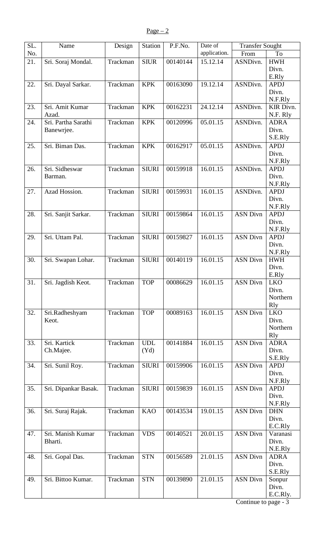| SL. | Name                 | Design   | Station      | P.F.No.  | Date of      | <b>Transfer Sought</b> |                      |
|-----|----------------------|----------|--------------|----------|--------------|------------------------|----------------------|
| No. |                      |          |              |          | application. | From                   | To                   |
| 21. | Sri. Soraj Mondal.   | Trackman | <b>SIUR</b>  | 00140144 | 15.12.14     | ASNDivn.               | ${\rm HWH}$          |
|     |                      |          |              |          |              |                        | Divn.                |
|     |                      |          |              |          |              |                        | E.Rly                |
| 22. | Sri. Dayal Sarkar.   | Trackman | <b>KPK</b>   | 00163090 | 19.12.14     | ASNDivn.               | <b>APDJ</b>          |
|     |                      |          |              |          |              |                        | Divn.                |
|     |                      |          |              |          |              |                        | N.F.Rly              |
| 23. | Sri. Amit Kumar      | Trackman | <b>KPK</b>   | 00162231 | 24.12.14     | ASNDivn.               | KIR Divn.            |
|     | Azad.                |          |              |          |              |                        | N.F. Rly             |
| 24. | Sri. Partha Sarathi  | Trackman | <b>KPK</b>   | 00120996 | 05.01.15     | ASNDivn.               | <b>ADRA</b>          |
|     | Banewrjee.           |          |              |          |              |                        | Divn.                |
|     |                      |          |              |          |              |                        | S.E.Rly              |
| 25. | Sri. Biman Das.      | Trackman | <b>KPK</b>   | 00162917 | 05.01.15     | ASNDivn.               | <b>APDJ</b>          |
|     |                      |          |              |          |              |                        | Divn.                |
|     |                      |          |              |          |              |                        | N.F.Rly              |
| 26. | Sri. Sidheswar       | Trackman | <b>SIURI</b> | 00159918 | 16.01.15     | ASNDivn.               | <b>APDJ</b>          |
|     | Barman.              |          |              |          |              |                        | Divn.                |
|     |                      |          |              |          |              |                        | N.F.Rly              |
| 27. | Azad Hossion.        | Trackman | <b>SIURI</b> | 00159931 | 16.01.15     | ASNDivn.               | <b>APDJ</b>          |
|     |                      |          |              |          |              |                        | Divn.                |
|     |                      |          |              |          |              |                        | N.F.Rly              |
| 28. | Sri. Sanjit Sarkar.  | Trackman | <b>SIURI</b> | 00159864 | 16.01.15     | <b>ASN Divn</b>        | <b>APDJ</b>          |
|     |                      |          |              |          |              |                        | Divn.                |
|     |                      |          |              |          |              |                        | N.F.Rly              |
| 29. | Sri. Uttam Pal.      | Trackman | <b>SIURI</b> | 00159827 | 16.01.15     | <b>ASN Divn</b>        | <b>APDJ</b>          |
|     |                      |          |              |          |              |                        | Divn.                |
|     |                      |          |              |          |              |                        | N.F.Rly              |
| 30. | Sri. Swapan Lohar.   | Trackman | <b>SIURI</b> | 00140119 | 16.01.15     | <b>ASN Divn</b>        | <b>HWH</b>           |
|     |                      |          |              |          |              |                        | Divn.                |
|     |                      |          |              |          |              |                        | E.Rly                |
| 31. | Sri. Jagdish Keot.   | Trackman | <b>TOP</b>   | 00086629 | 16.01.15     | <b>ASN Divn</b>        | <b>LKO</b>           |
|     |                      |          |              |          |              |                        | Divn.                |
|     |                      |          |              |          |              |                        | Northern             |
|     |                      |          |              |          |              |                        | <b>R</b> ly          |
| 32. | Sri.Radheshyam       | Trackman | <b>TOP</b>   | 00089163 | 16.01.15     | <b>ASN Divn</b>        | <b>LKO</b>           |
|     | Keot.                |          |              |          |              |                        | Divn.                |
|     |                      |          |              |          |              |                        | Northern             |
|     |                      |          |              |          |              |                        | <b>R</b> ly          |
| 33. | Sri. Kartick         | Trackman | <b>UDL</b>   | 00141884 | 16.01.15     | <b>ASN Divn</b>        | <b>ADRA</b>          |
|     | Ch.Majee.            |          | (Yd)         |          |              |                        | Divn.                |
|     |                      |          |              |          |              |                        | S.E.Rly              |
| 34. | Sri. Sunil Roy.      | Trackman | <b>SIURI</b> | 00159906 | 16.01.15     | <b>ASN Divn</b>        | <b>APDJ</b>          |
|     |                      |          |              |          |              |                        | Divn.                |
|     |                      |          |              |          |              | <b>ASN Divn</b>        | N.F.Rly              |
| 35. | Sri. Dipankar Basak. | Trackman | <b>SIURI</b> | 00159839 | 16.01.15     |                        | <b>APDJ</b><br>Divn. |
|     |                      |          |              |          |              |                        | N.F.Rly              |
| 36. | Sri. Suraj Rajak.    | Trackman | <b>KAO</b>   | 00143534 | 19.01.15     | <b>ASN Divn</b>        | <b>DHN</b>           |
|     |                      |          |              |          |              |                        | Divn.                |
|     |                      |          |              |          |              |                        | E.C.Rly              |
| 47. | Sri. Manish Kumar    | Trackman | <b>VDS</b>   | 00140521 | 20.01.15     | <b>ASN Divn</b>        | Varanasi             |
|     | Bharti.              |          |              |          |              |                        | Divn.                |
|     |                      |          |              |          |              |                        | N.E.Rly              |
| 48. | Sri. Gopal Das.      | Trackman | <b>STN</b>   | 00156589 | 21.01.15     | <b>ASN Divn</b>        | <b>ADRA</b>          |
|     |                      |          |              |          |              |                        | Divn.                |
|     |                      |          |              |          |              |                        | S.E.Rly              |
| 49. | Sri. Bittoo Kumar.   | Trackman | <b>STN</b>   | 00139890 | 21.01.15     | <b>ASN Divn</b>        | Sonpur               |
|     |                      |          |              |          |              |                        | Divn.                |
|     |                      |          |              |          |              |                        | E.C.Rly.             |
|     |                      |          |              |          |              |                        |                      |

Continue to page - 3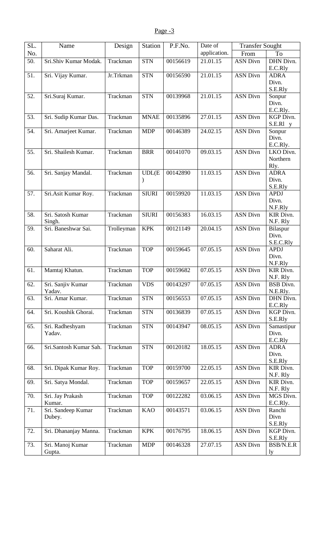| SL. | Name                         | Design     | Station      | P.F.No.  | Date of      | <b>Transfer Sought</b> |                                 |
|-----|------------------------------|------------|--------------|----------|--------------|------------------------|---------------------------------|
| No. |                              |            |              |          | application. | From                   | To                              |
| 50. | Sri.Shiv Kumar Modak.        | Trackman   | <b>STN</b>   | 00156619 | 21.01.15     | <b>ASN Divn</b>        | DHN Divn.<br>E.C.Rly            |
| 51. | Sri. Vijay Kumar.            | Jr.Trkman  | <b>STN</b>   | 00156590 | 21.01.15     | <b>ASN Divn</b>        | <b>ADRA</b>                     |
|     |                              |            |              |          |              |                        | Divn.                           |
| 52. | Sri.Suraj Kumar.             | Trackman   | <b>STN</b>   | 00139968 | 21.01.15     | <b>ASN Divn</b>        | S.E.Rly<br>Sonpur               |
|     |                              |            |              |          |              |                        | Divn.<br>E.C.Rly.               |
| 53. | Sri. Sudip Kumar Das.        | Trackman   | <b>MNAE</b>  | 00135896 | 27.01.15     | <b>ASN Divn</b>        | KGP Divn.<br>S.E.Rl y           |
| 54. | Sri. Amarjeet Kumar.         | Trackman   | <b>MDP</b>   | 00146389 | 24.02.15     | <b>ASN Divn</b>        | Sonpur<br>Divn.<br>E.C.Rly.     |
| 55. | Sri. Shailesh Kumar.         | Trackman   | <b>BRR</b>   | 00141070 | 09.03.15     | <b>ASN Divn</b>        | LKO Divn.<br>Northern<br>Rly.   |
| 56. | Sri. Sanjay Mandal.          | Trackman   | UDL(E)       | 00142890 | 11.03.15     | <b>ASN Divn</b>        | <b>ADRA</b><br>Divn.<br>S.E.Rly |
| 57. | Sri.Asit Kumar Roy.          | Trackman   | <b>SIURI</b> | 00159920 | 11.03.15     | <b>ASN Divn</b>        | <b>APDJ</b><br>Divn.<br>N.F.Rly |
| 58. | Sri. Satosh Kumar<br>Singh.  | Trackman   | <b>SIURI</b> | 00156383 | 16.03.15     | <b>ASN Divn</b>        | KIR Divn.<br>N.F. Rly           |
| 59. | Sri. Baneshwar Sai.          | Trolleyman | <b>KPK</b>   | 00121149 | 20.04.15     | <b>ASN Divn</b>        | Bilaspur<br>Divn.<br>S.E.C.Rly  |
| 60. | Saharat Ali.                 | Trackman   | <b>TOP</b>   | 00159645 | 07.05.15     | <b>ASN Divn</b>        | <b>APDJ</b><br>Divn.<br>N.F.Rly |
| 61. | Mamtaj Khatun.               | Trackman   | <b>TOP</b>   | 00159682 | 07.05.15     | <b>ASN Divn</b>        | KIR Divn.<br>N.F. Rly           |
| 62. | Sri. Sanjiv Kumar<br>Yadav.  | Trackman   | <b>VDS</b>   | 00143297 | 07.05.15     | <b>ASN Divn</b>        | <b>BSB</b> Divn.<br>N.E.Rly.    |
| 63. | Sri. Amar Kumar.             | Trackman   | <b>STN</b>   | 00156553 | 07.05.15     | <b>ASN Divn</b>        | DHN Divn.<br>E.C.Rly            |
| 64. | Sri. Koushik Ghorai.         | Trackman   | <b>STN</b>   | 00136839 | 07.05.15     | <b>ASN Divn</b>        | KGP Divn.<br>S.E.Rly            |
| 65. | Sri. Radheshyam<br>Yadav.    | Trackman   | <b>STN</b>   | 00143947 | 08.05.15     | <b>ASN Divn</b>        | Samastipur<br>Divn.<br>E.C.Rly  |
| 66. | Sri.Santosh Kumar Sah.       | Trackman   | <b>STN</b>   | 00120182 | 18.05.15     | <b>ASN Divn</b>        | <b>ADRA</b><br>Divn.<br>S.E.Rly |
| 68. | Sri. Dipak Kumar Roy.        | Trackman   | <b>TOP</b>   | 00159700 | 22.05.15     | <b>ASN Divn</b>        | KIR Divn.<br>N.F. Rly           |
| 69. | Sri. Satya Mondal.           | Trackman   | <b>TOP</b>   | 00159657 | 22.05.15     | <b>ASN Divn</b>        | KIR Divn.<br>N.F. Rly           |
| 70. | Sri. Jay Prakash<br>Kumar.   | Trackman   | <b>TOP</b>   | 00122282 | 03.06.15     | <b>ASN Divn</b>        | MGS Divn.<br>E.C.Rly.           |
| 71. | Sri. Sandeep Kumar<br>Dubey. | Trackman   | <b>KAO</b>   | 00143571 | 03.06.15     | <b>ASN Divn</b>        | Ranchi<br>Divn<br>S.E.Rly       |
| 72. | Sri. Dhananjay Manna.        | Trackman   | <b>KPK</b>   | 00176795 | 18.06.15     | <b>ASN Divn</b>        | KGP Divn.<br>S.E.Rly            |
| 73. | Sri. Manoj Kumar<br>Gupta.   | Trackman   | <b>MDP</b>   | 00146328 | 27.07.15     | <b>ASN Divn</b>        | BSB/N.E.R<br>ly                 |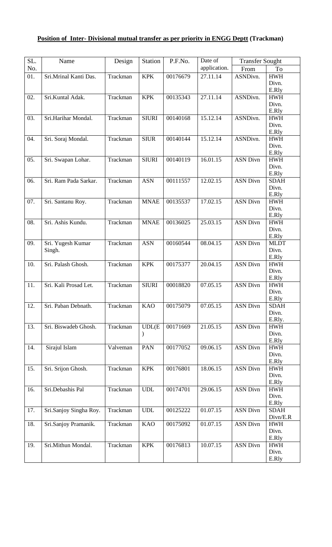# **Position of Inter- Divisional mutual transfer as per priority in ENGG Deptt (Trackman)**

| SL. | Name                   | Design   | <b>Station</b>                                                                                            | P.F.No.  | Date of      | <b>Transfer Sought</b> |                      |
|-----|------------------------|----------|-----------------------------------------------------------------------------------------------------------|----------|--------------|------------------------|----------------------|
| No. |                        |          |                                                                                                           |          | application. | From                   | To                   |
| 01. | Sri.Mrinal Kanti Das.  | Trackman | <b>KPK</b>                                                                                                | 00176679 | 27.11.14     | ASNDivn.               | <b>HWH</b>           |
|     |                        |          |                                                                                                           |          |              |                        | Divn.                |
|     |                        |          |                                                                                                           |          |              |                        | E.Rly                |
| 02. | Sri.Kuntal Adak.       | Trackman | <b>KPK</b>                                                                                                | 00135343 | 27.11.14     | ASNDivn.               | <b>HWH</b>           |
|     |                        |          |                                                                                                           |          |              |                        | Divn.                |
| 03. | Sri.Harihar Mondal.    | Trackman | <b>SIURI</b>                                                                                              | 00140168 | 15.12.14     | ASNDivn.               | E.Rly<br><b>HWH</b>  |
|     |                        |          |                                                                                                           |          |              |                        | Divn.                |
|     |                        |          |                                                                                                           |          |              |                        | E.Rly                |
| 04. | Sri. Soraj Mondal.     | Trackman | <b>SIUR</b>                                                                                               | 00140144 | 15.12.14     | ASNDivn.               | <b>HWH</b>           |
|     |                        |          |                                                                                                           |          |              |                        | Divn.                |
|     |                        |          |                                                                                                           |          |              |                        | E.Rly                |
| 05. | Sri. Swapan Lohar.     | Trackman | <b>SIURI</b>                                                                                              | 00140119 | 16.01.15     | <b>ASN Divn</b>        | <b>HWH</b>           |
|     |                        |          |                                                                                                           |          |              |                        | Divn.<br>E.Rly       |
| 06. | Sri. Ram Pada Sarkar.  | Trackman | <b>ASN</b>                                                                                                | 00111557 | 12.02.15     | <b>ASN Divn</b>        | <b>SDAH</b>          |
|     |                        |          |                                                                                                           |          |              |                        | Divn.                |
|     |                        |          |                                                                                                           |          |              |                        | E.Rly                |
| 07. | Sri. Santanu Roy.      | Trackman | <b>MNAE</b>                                                                                               | 00135537 | 17.02.15     | <b>ASN Divn</b>        | <b>HWH</b>           |
|     |                        |          |                                                                                                           |          |              |                        | Divn.                |
|     |                        |          |                                                                                                           |          |              |                        | E.Rly                |
| 08. | Sri. Ashis Kundu.      | Trackman | <b>MNAE</b>                                                                                               | 00136025 | 25.03.15     | <b>ASN Divn</b>        | <b>HWH</b>           |
|     |                        |          |                                                                                                           |          |              |                        | Divn.                |
| 09. | Sri. Yugesh Kumar      | Trackman | <b>ASN</b>                                                                                                | 00160544 | 08.04.15     | <b>ASN Divn</b>        | E.Rly<br><b>MLDT</b> |
|     | Singh.                 |          |                                                                                                           |          |              |                        | Divn.                |
|     |                        |          |                                                                                                           |          |              |                        | E.Rly                |
| 10. | Sri. Palash Ghosh.     | Trackman | <b>KPK</b>                                                                                                | 00175377 | 20.04.15     | <b>ASN Divn</b>        | <b>HWH</b>           |
|     |                        |          |                                                                                                           |          |              |                        | Divn.                |
|     |                        |          |                                                                                                           |          |              |                        | E.Rly                |
| 11. | Sri. Kali Prosad Let.  | Trackman | <b>SIURI</b>                                                                                              | 00018820 | 07.05.15     | <b>ASN Divn</b>        | <b>HWH</b>           |
|     |                        |          |                                                                                                           |          |              |                        | Divn.<br>E.Rly       |
| 12. | Sri. Paban Debnath.    | Trackman | <b>KAO</b>                                                                                                | 00175079 | 07.05.15     | <b>ASN Divn</b>        | <b>SDAH</b>          |
|     |                        |          |                                                                                                           |          |              |                        | Divn.                |
|     |                        |          |                                                                                                           |          |              |                        | E.Rly.               |
| 13. | Sri. Biswadeb Ghosh.   | Trackman | UDL(E)                                                                                                    | 00171669 | 21.05.15     | <b>ASN Divn</b>        | <b>HWH</b>           |
|     |                        |          | $\mathcal{F}^{\prime}(\mathcal{F}) = \mathcal{F}^{\prime}(\mathcal{F}) \mathcal{F}^{\prime}(\mathcal{F})$ |          |              |                        | Divn.                |
| 14. | Sirajul Islam          | Valveman | PAN                                                                                                       | 00177052 | 09.06.15     | <b>ASN Divn</b>        | E.Rly<br><b>HWH</b>  |
|     |                        |          |                                                                                                           |          |              |                        | Divn.                |
|     |                        |          |                                                                                                           |          |              |                        | E.Rly                |
| 15. | Sri. Srijon Ghosh.     | Trackman | <b>KPK</b>                                                                                                | 00176801 | 18.06.15     | <b>ASN Divn</b>        | <b>HWH</b>           |
|     |                        |          |                                                                                                           |          |              |                        | Divn.                |
|     |                        |          |                                                                                                           |          |              |                        | E.Rly                |
| 16. | Sri.Debashis Pal       | Trackman | <b>UDL</b>                                                                                                | 00174701 | 29.06.15     | <b>ASN Divn</b>        | <b>HWH</b>           |
|     |                        |          |                                                                                                           |          |              |                        | Divn.<br>E.Rly       |
| 17. | Sri.Sanjoy Singha Roy. | Trackman | <b>UDL</b>                                                                                                | 00125222 | 01.07.15     | <b>ASN Divn</b>        | <b>SDAH</b>          |
|     |                        |          |                                                                                                           |          |              |                        | Divn/E.R             |
| 18. | Sri.Sanjoy Pramanik.   | Trackman | <b>KAO</b>                                                                                                | 00175092 | 01.07.15     | <b>ASN Divn</b>        | <b>HWH</b>           |
|     |                        |          |                                                                                                           |          |              |                        | Divn.                |
|     |                        |          |                                                                                                           |          |              |                        | E.Rly                |
| 19. | Sri.Mithun Mondal.     | Trackman | <b>KPK</b>                                                                                                | 00176813 | 10.07.15     | <b>ASN Divn</b>        | <b>HWH</b>           |
|     |                        |          |                                                                                                           |          |              |                        | Divn.<br>E.Rly       |
|     |                        |          |                                                                                                           |          |              |                        |                      |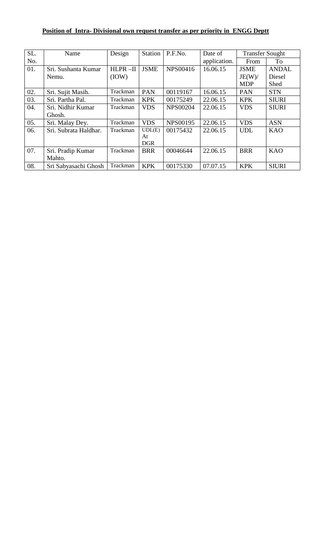## **Position of Intra- Divisional own request transfer as per priority in ENGG Deptt**

| SL. | Name                  | Design   | <b>Station</b> | P.F.No.         | Date of      | <b>Transfer Sought</b> |              |
|-----|-----------------------|----------|----------------|-----------------|--------------|------------------------|--------------|
| No. |                       |          |                |                 | application. | From                   | To           |
| 01. | Sri. Sushanta Kumar   | HLPR-II  | <b>JSME</b>    | NPS00416        | 16.06.15     | <b>JSME</b>            | <b>ANDAL</b> |
|     | Nemu.                 | (IOW)    |                |                 |              | JE(W)/                 | Diesel       |
|     |                       |          |                |                 |              | <b>MDP</b>             | Shed         |
| 02. | Sri. Sujit Masih.     | Trackman | <b>PAN</b>     | 00119167        | 16.06.15     | <b>PAN</b>             | <b>STN</b>   |
| 03. | Sri. Partha Pal.      | Trackman | <b>KPK</b>     | 00175249        | 22.06.15     | <b>KPK</b>             | <b>SIURI</b> |
| 04. | Sri. Nidhir Kumar     | Trackman | <b>VDS</b>     | <b>NPS00204</b> | 22.06.15     | <b>VDS</b>             | <b>SIURI</b> |
|     | Ghosh.                |          |                |                 |              |                        |              |
| 05. | Sri. Malay Dey.       | Trackman | <b>VDS</b>     | <b>NPS00195</b> | 22.06.15     | <b>VDS</b>             | <b>ASN</b>   |
| 06. | Sri. Subrata Haldhar. | Trackman | UDL(E)         | 00175432        | 22.06.15     | <b>UDL</b>             | <b>KAO</b>   |
|     |                       |          | At             |                 |              |                        |              |
|     |                       |          | <b>DGR</b>     |                 |              |                        |              |
| 07. | Sri. Pradip Kumar     | Trackman | <b>BRR</b>     | 00046644        | 22.06.15     | <b>BRR</b>             | <b>KAO</b>   |
|     | Mahto.                |          |                |                 |              |                        |              |
| 08. | Sri Sabyasachi Ghosh  | Trackman | <b>KPK</b>     | 00175330        | 07.07.15     | <b>KPK</b>             | <b>SIURI</b> |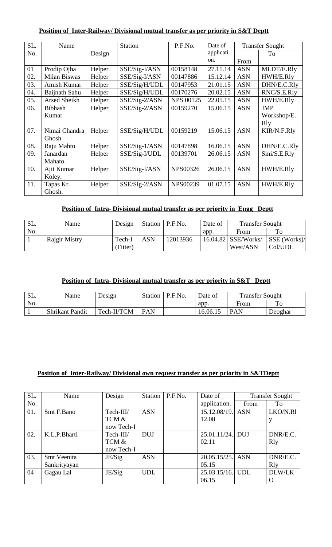### **Position of Inter-Railway/ Divisional mutual transfer as per priority in S&T Deptt**

| SL. | Name           |        | <b>Station</b>  | P.F.No.          | Date of   |            | <b>Transfer Sought</b> |
|-----|----------------|--------|-----------------|------------------|-----------|------------|------------------------|
| No. |                | Design |                 |                  | applicati |            | To                     |
|     |                |        |                 |                  | on.       | From       |                        |
| 01  | Prodip Ojha    | Helper | SSE/Sig-I/ASN   | 00158148         | 27.11.14  | <b>ASN</b> | MLDT/E.Rly             |
| 02. | Milan Biswas   | Helper | SSE/Sig-I/ASN   | 00147886         | 15.12.14  | <b>ASN</b> | HWH/E.Rly              |
| 03. | Amish Kumar    | Helper | SSE/Sig/H/UDL   | 00147953         | 21.01.15  | <b>ASN</b> | DHN/E.C.Rly            |
| 04. | Baijnath Sahu  | Helper | SSE/Sig/H/UDL   | 00170276         | 20.02.15  | <b>ASN</b> | RNC/S.E.Rly            |
| 05. | Arsed Sheikh   | Helper | SSE/Sig-2/ASN   | <b>NPS 00125</b> | 22.05.15  | <b>ASN</b> | HWH/E.Rly              |
| 06. | <b>Bibhash</b> | Helper | SSE/Sig-2/ASN   | 00159270         | 15.06.15  | <b>ASN</b> | <b>JMP</b>             |
|     | Kumar          |        |                 |                  |           |            | Workshop/E.            |
|     |                |        |                 |                  |           |            | Rly                    |
| 07. | Nimai Chandra  | Helper | SSE/Sig/H/UDL   | 00159219         | 15.06.15  | <b>ASN</b> | <b>KIR/N.F.Rly</b>     |
|     | Ghosh          |        |                 |                  |           |            |                        |
| 08. | Raju Mahto     | Helper | $SSE/Sig-1/ASN$ | 00147898         | 16.06.15  | <b>ASN</b> | DHN/E.C.Rly            |
| 09. | Janardan       | Helper | SSE/Sig-I/UDL   | 00139701         | 26.06.15  | <b>ASN</b> | Sini/S.E.Rly           |
|     | Mahato.        |        |                 |                  |           |            |                        |
| 10. | Ajit Kumar     | Helper | SSE/Sig-I/ASN   | <b>NPS00326</b>  | 26.06.15  | <b>ASN</b> | HWH/E.Rly              |
|     | Koley.         |        |                 |                  |           |            |                        |
| 11. | Tapas Kr.      | Helper | SSE/Sig-2/ASN   | <b>NPS00239</b>  | 01.07.15  | <b>ASN</b> | HWH/E.Rly              |
|     | Ghosh.         |        |                 |                  |           |            |                        |

### **Position of Intra- Divisional mutual transfer as per priority in Engg Deptt**

| SL. | Name          | Design   |            | Station   P.F.No. | Date of | <b>Transfer Sought</b> |                      |
|-----|---------------|----------|------------|-------------------|---------|------------------------|----------------------|
| No. |               |          |            |                   | app.    | From                   | Tо                   |
|     | Rajgir Mistry | Tech-I   | <b>ASN</b> | 12013936          |         | $16.04.82$ SSE/Works/  | $\vert$ SSE (Works)/ |
|     |               | (Fitter) |            |                   |         | West/ASN               | Col/UDL              |

#### **Position of Intra- Divisional mutual transfer as per priority in S&T Deptt**

| SL. | Name                   | Design      |            | Station   P.F.No. | Date of  | <b>Transfer Sought</b> |         |
|-----|------------------------|-------------|------------|-------------------|----------|------------------------|---------|
| No. |                        |             |            |                   | app.     | From                   |         |
|     | <b>Shrikant Pandit</b> | Tech-II/TCM | <b>PAN</b> |                   | 16.06.15 | <b>PAN</b>             | Deoghar |

#### **Position of Inter-Railway/ Divisional own request transfer as per priority in S&TDeptt**

| SL. | Name         | Design     | Station    | P.F.No. | Date of             |            | <b>Transfer Sought</b> |
|-----|--------------|------------|------------|---------|---------------------|------------|------------------------|
| No. |              |            |            |         | application.        | From       | To                     |
| 01. | Smt F.Bano   | Tech-III/  | <b>ASN</b> |         | 15.12.08/19.        | <b>ASN</b> | LKO/N.Rl               |
|     |              | TCM &      |            |         | 12.08               |            | y                      |
|     |              | now Tech-I |            |         |                     |            |                        |
| 02. | K.L.P.Bharti | Tech-III/  | <b>DUJ</b> |         | $25.01.11/24$ . DUJ |            | DNR/E.C.               |
|     |              | TCM &      |            |         | 02.11               |            | <b>R</b> ly            |
|     |              | now Tech-I |            |         |                     |            |                        |
| 03. | Smt Veenita  | JE/Sig     | <b>ASN</b> |         | 20.05.15/25.        | <b>ASN</b> | DNR/E.C.               |
|     | Sankrityayan |            |            |         | 05.15               |            | <b>R</b> ly            |
| 04  | Gagau Lal    | JE/Sig     | <b>UDL</b> |         | 25.03.15/16. UDL    |            | DLW/LK                 |
|     |              |            |            |         | 06.15               |            |                        |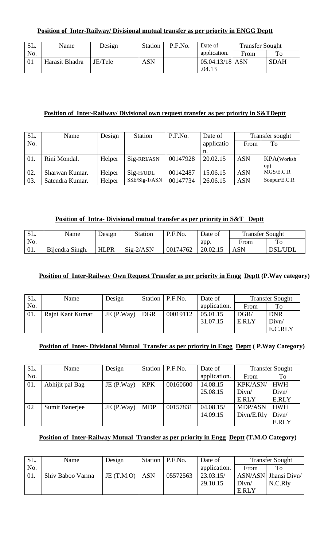| SL. | Name           | Design  | Station    | P.F.No. | Date of         | <b>Transfer Sought</b> |             |
|-----|----------------|---------|------------|---------|-----------------|------------------------|-------------|
| No. |                |         |            |         | application.    | From                   | To          |
| 01  | Harasit Bhadra | JE/Tele | <b>ASN</b> |         | 05.04.13/18 ASN |                        | <b>SDAH</b> |
|     |                |         |            |         | .04.13          |                        |             |

#### **Position of Inter-Railway/ Divisional own request transfer as per priority in S&TDeptt**

| SL. | Name            | Design | Station       | P.F.No.  | Date of    |            | Transfer sought |
|-----|-----------------|--------|---------------|----------|------------|------------|-----------------|
| No. |                 |        |               |          | applicatio | From       | To              |
|     |                 |        |               |          | n.         |            |                 |
| 01. | Rini Mondal.    | Helper | Sig-RRI/ASN   | 00147928 | 20.02.15   | <b>ASN</b> | KPA(Worksh      |
|     |                 |        |               |          |            |            | (op             |
| 02. | Sharwan Kumar.  | Helper | $Sig-H/UDL$   | 00142487 | 15.06.15   | <b>ASN</b> | MGS/E.C.R       |
| 03. | Satendra Kumar. | Helper | SSE/Sig-1/ASN | 00147734 | 26.06.15   | <b>ASN</b> | Sonpur/E.C.R    |

#### **Position of Intra- Divisional mutual transfer as per priority in S&T Deptt**

| SL. | Name            | Design      | <b>Station</b> | P.F.No.  | Date of  | <b>Transfer Sought</b> |         |
|-----|-----------------|-------------|----------------|----------|----------|------------------------|---------|
| No. |                 |             |                |          | app.     | From                   | To      |
| 01. | Bijendra Singh. | <b>HLPR</b> | $Sig-2/ASN$    | 00174762 | 20.02.15 | <b>ASN</b>             | DSL/UDL |

#### **Position of Inter-Railway Own Request Transfer as per priority in Engg Deptt (P.Way category)**

| SL. | Name             | Design           | Station   P.F.No. | Date of      | <b>Transfer Sought</b> |            |
|-----|------------------|------------------|-------------------|--------------|------------------------|------------|
| No. |                  |                  |                   | application. | From                   | To         |
| 01. | Rajni Kant Kumar | JE $(P.Way)$ DGR | 00019112          | 05.01.15     | DGR/                   | <b>DNR</b> |
|     |                  |                  |                   | 31.07.15     | E.RLY                  | Divn/      |
|     |                  |                  |                   |              |                        | E.C.RLY    |

#### **Position of Inter- Divisional Mutual Transfer as per priority in Engg Deptt (P.Way Category)**

| SL. | Name            | Design    | Station    | P.F.No.  | Date of      |                | <b>Transfer Sought</b> |
|-----|-----------------|-----------|------------|----------|--------------|----------------|------------------------|
| No. |                 |           |            |          | application. | From           | To                     |
| 01. | Abhijit pal Bag | JE(P.Way) | <b>KPK</b> | 00160600 | 14.08.15     | KPK/ASN/       | <b>HWH</b>             |
|     |                 |           |            |          | 25.08.15     | Divn/          | Divn/                  |
|     |                 |           |            |          |              | E.RLY          | E.RLY                  |
| 02  | Sumit Banerjee  | JE(P.Way) | <b>MDP</b> | 00157831 | 04.08.15/    | <b>MDP/ASN</b> | <b>HWH</b>             |
|     |                 |           |            |          | 14.09.15     | Divn/E.Rly     | Divn/                  |
|     |                 |           |            |          |              |                | E.RLY                  |

#### **Position of Inter-Railway Mutual Transfer as per priority in Engg Deptt (T.M.O Category)**

| SL. | Name             | Design    |            | Station   P.F.No. | Date of      | <b>Transfer Sought</b> |                      |
|-----|------------------|-----------|------------|-------------------|--------------|------------------------|----------------------|
| No. |                  |           |            |                   | application. | From                   | To                   |
| 01. | Shiv Baboo Varma | JE(T.M.O) | <b>ASN</b> | 05572563          | 23.03.15/    |                        | ASN/ASN Jhansi Divn/ |
|     |                  |           |            |                   | 29.10.15     | Divn/                  | N.C.Rly              |
|     |                  |           |            |                   |              | E.RLY                  |                      |